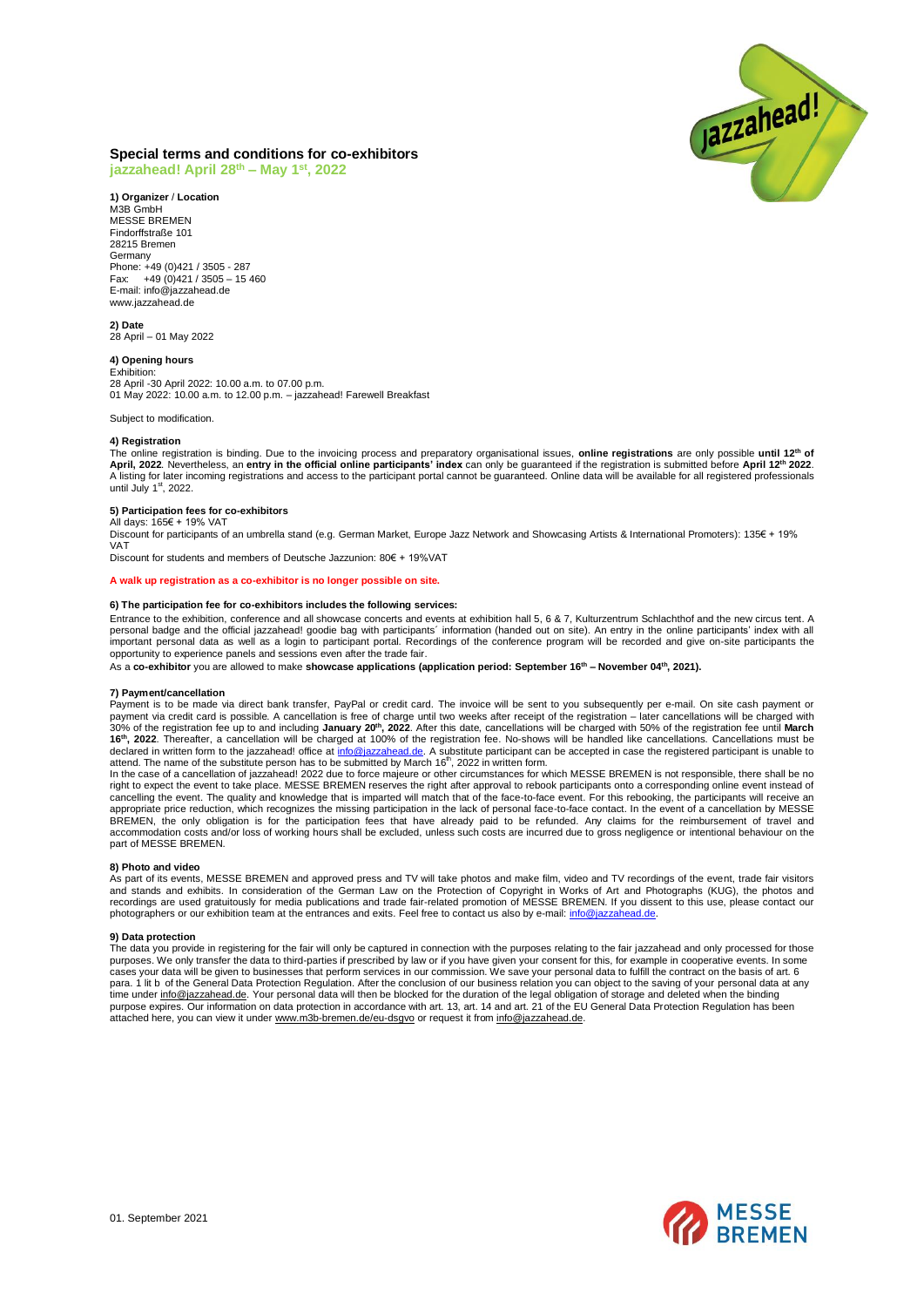

# **Special terms and conditions for co-exhibitors**

**jazzahead! April 28 th – May 1 st , 2022**

**1) Organizer** / **Location** M3B GmbH MESSE BREMEN Findorffstraße 101 28215 Bremen Germany Phone: +49 (0)421 / 3505 - 287 Fax: +49 (0)421 / 3505 – 15 460 E-mail: info@jazzahead.de www.jazzahead.de

**2) Date** 28 April – 01 May 2022

## **4) Opening hours**

Exhibition: 28 April -30 April 2022: 10.00 a.m. to 07.00 p.m. 01 May 2022: 10.00 a.m. to 12.00 p.m. – jazzahead! Farewell Breakfast

Subject to modification.

## **4) Registration**

The online registration is binding. Due to the invoicing process and preparatory organisational issues, **online registrations** are only possible u**ntil 12<sup>th</sup> of**<br>April, 2022. Nevertheless, an **entry in the official online** A listing for later incoming registrations and access to the participant portal cannot be guaranteed. Online data will be available for all registered professionals until July 1<sup>st</sup>, 2022.

#### **5) Participation fees for co-exhibitors** All days: 165€ + 19% VAT

Discount for participants of an umbrella stand (e.g. German Market, Europe Jazz Network and Showcasing Artists & International Promoters): 135€ + 19% VAT

Discount for students and members of Deutsche Jazzunion: 80€ + 19%VAT

#### **A walk up registration as a co-exhibitor is no longer possible on site.**

## **6) The participation fee for co-exhibitors includes the following services:**

Entrance to the exhibition, conference and all showcase concerts and events at exhibition hall 5, 6 & 7, Kulturzentrum Schlachthof and the new circus tent. A personal badge and the official jazzahead! goodie bag with participants´ information (handed out on site). An entry in the online participants' index with all important personal data as well as a login to participant portal. Recordings of the conference program will be recorded and give on-site participants the opportunity to experience panels and sessions even after the trade fair.

As a **co-exhibitor** you are allowed to make **showcase applications (application period: September 16th – November 04th, 2021).**

## **7) Payment/cancellation**

Payment is to be made via direct bank transfer, PayPal or credit card. The invoice will be sent to you subsequently per e-mail. On site cash payment or payment via credit card is possible. A cancellation is free of charge until two weeks after receipt of the registration – later cancellations will be charged with<br>16<sup>9</sup>% of the registration fee up to and including **January** attend. The name of the substitute person has to be submitted by March 16<sup>th</sup>, 2022 in written form.

In the case of a cancellation of jazzahead! 2022 due to force majeure or other circumstances for which MESSE BREMEN is not responsible, there shall be no right to expect the event to take place. MESSE BREMEN reserves the right after approval to rebook participants onto a corresponding online event instead of cancelling the event. The quality and knowledge that is imparted will match that of the face-to-face event. For this rebooking, the participants will receive an appropriate price reduction, which recognizes the missing participation in the lack of personal face-to-face contact. In the event of a cancellation by MESSE BREMEN, the only obligation is for the participation fees that have already paid to be refunded. Any claims for the reimbursement of travel and<br>accommodation costs and/or loss of working hours shall be excluded, unless suc part of MESSE BREMEN.

#### **8) Photo and video**

As part of its events, MESSE BREMEN and approved press and TV will take photos and make film, video and TV recordings of the event, trade fair visitors<br>and stands and exhibits. In consideration of the German Law on the Pro photographers or our exhibition team at the entrances and exits. Feel free to contact us also by e-mail: info@jazza

#### **9) Data protection**

The data you provide in registering for the fair will only be captured in connection with the purposes relating to the fair jazzahead and only processed for those purposes. We only transfer the data to third-parties if prescribed by law or if you have given your consent for this, for example in cooperative events. In some<br>cases your data will be given to businesses that perform serv para. 1 lit b of the General Data Protection Regulation. After the conclusion of our business relation you can object to the saving of your personal data at any time under <u>info@jazzahead.de</u>. Your personal data will then be blocked for the duration of the legal obligation of storage and deleted when the binding<br>purpose expires. Our information on data protection in accordance wit attached here, you can view it unde[r www.m3b-bremen.de/eu-dsgvo](http://www.m3b-bremen.de/eu-dsgvo) or request it from info@jazzahead.de